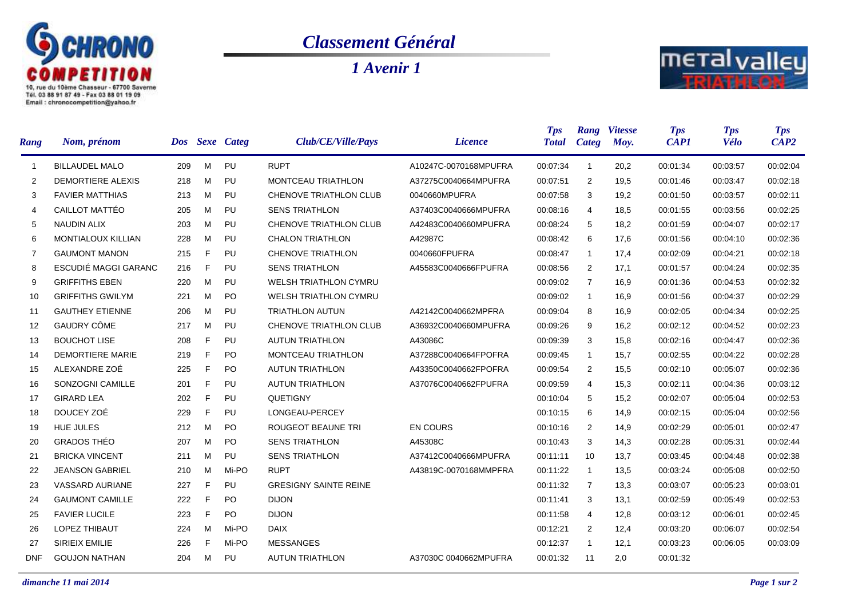

## *Classement Général*

*1 Avenir 1*



| <b>Rang</b>    | Nom, prénom              | Dos: |    | <b>Sexe</b> Categ | Club/CE/Ville/Pays           | <i>Licence</i>        | <b>Tps</b><br><b>Total</b> | Rang<br>Categ  | <b>Vitesse</b><br>Moy. | <b>Tps</b><br><b>CAP1</b> | <b>Tps</b><br><b>Vélo</b> | <b>Tps</b><br>CAP2 |
|----------------|--------------------------|------|----|-------------------|------------------------------|-----------------------|----------------------------|----------------|------------------------|---------------------------|---------------------------|--------------------|
| $\mathbf{1}$   | <b>BILLAUDEL MALO</b>    | 209  | M  | PU                | <b>RUPT</b>                  | A10247C-0070168MPUFRA | 00:07:34                   | $\overline{1}$ | 20,2                   | 00:01:34                  | 00:03:57                  | 00:02:04           |
| 2              | <b>DEMORTIERE ALEXIS</b> | 218  | M  | PU                | <b>MONTCEAU TRIATHLON</b>    | A37275C0040664MPUFRA  | 00:07:51                   | $\overline{2}$ | 19,5                   | 00:01:46                  | 00:03:47                  | 00:02:18           |
| 3              | <b>FAVIER MATTHIAS</b>   | 213  | м  | PU                | CHENOVE TRIATHLON CLUB       | 0040660MPUFRA         | 00:07:58                   | 3              | 19,2                   | 00:01:50                  | 00:03:57                  | 00:02:11           |
| $\overline{4}$ | CAILLOT MATTÉO           | 205  | M  | PU                | <b>SENS TRIATHLON</b>        | A37403C0040666MPUFRA  | 00:08:16                   | 4              | 18,5                   | 00:01:55                  | 00:03:56                  | 00:02:25           |
| 5              | <b>NAUDIN ALIX</b>       | 203  | M  | PU                | CHENOVE TRIATHLON CLUB       | A42483C0040660MPUFRA  | 00:08:24                   | 5              | 18,2                   | 00:01:59                  | 00:04:07                  | 00:02:17           |
| 6              | MONTIALOUX KILLIAN       | 228  | M  | PU                | <b>CHALON TRIATHLON</b>      | A42987C               | 00:08:42                   | 6              | 17,6                   | 00:01:56                  | 00:04:10                  | 00:02:36           |
| $\overline{7}$ | <b>GAUMONT MANON</b>     | 215  | F  | PU                | <b>CHENOVE TRIATHLON</b>     | 0040660FPUFRA         | 00:08:47                   | $\overline{1}$ | 17.4                   | 00:02:09                  | 00:04:21                  | 00:02:18           |
| 8              | ESCUDIÉ MAGGI GARANC     | 216  | F  | PU                | <b>SENS TRIATHLON</b>        | A45583C0040666FPUFRA  | 00:08:56                   | $\overline{2}$ | 17,1                   | 00:01:57                  | 00:04:24                  | 00:02:35           |
| 9              | <b>GRIFFITHS EBEN</b>    | 220  | м  | PU                | <b>WELSH TRIATHLON CYMRU</b> |                       | 00:09:02                   | 7              | 16,9                   | 00:01:36                  | 00:04:53                  | 00:02:32           |
| 10             | <b>GRIFFITHS GWILYM</b>  | 221  | M  | <b>PO</b>         | <b>WELSH TRIATHLON CYMRU</b> |                       | 00:09:02                   | $\overline{1}$ | 16,9                   | 00:01:56                  | 00:04:37                  | 00:02:29           |
| 11             | <b>GAUTHEY ETIENNE</b>   | 206  | M  | PU                | <b>TRIATHLON AUTUN</b>       | A42142C0040662MPFRA   | 00:09:04                   | 8              | 16,9                   | 00:02:05                  | 00:04:34                  | 00:02:25           |
| 12             | GAUDRY CÔME              | 217  | M  | PU                | CHENOVE TRIATHLON CLUB       | A36932C0040660MPUFRA  | 00:09:26                   | 9              | 16,2                   | 00:02:12                  | 00:04:52                  | 00:02:23           |
| 13             | <b>BOUCHOT LISE</b>      | 208  | F  | PU                | <b>AUTUN TRIATHLON</b>       | A43086C               | 00:09:39                   | 3              | 15,8                   | 00:02:16                  | 00:04:47                  | 00:02:36           |
| 14             | <b>DEMORTIERE MARIE</b>  | 219  | F  | P <sub>O</sub>    | MONTCEAU TRIATHLON           | A37288C0040664FPOFRA  | 00:09:45                   | $\overline{1}$ | 15,7                   | 00:02:55                  | 00:04:22                  | 00:02:28           |
| 15             | ALEXANDRE ZOÉ            | 225  | F  | <b>PO</b>         | <b>AUTUN TRIATHLON</b>       | A43350C0040662FPOFRA  | 00:09:54                   | $\overline{2}$ | 15,5                   | 00:02:10                  | 00:05:07                  | 00:02:36           |
| 16             | SONZOGNI CAMILLE         | 201  | F  | PU                | <b>AUTUN TRIATHLON</b>       | A37076C0040662FPUFRA  | 00:09:59                   | 4              | 15,3                   | 00:02:11                  | 00:04:36                  | 00:03:12           |
| 17             | <b>GIRARD LEA</b>        | 202  | F  | PU                | QUETIGNY                     |                       | 00:10:04                   | 5              | 15,2                   | 00:02:07                  | 00:05:04                  | 00:02:53           |
| 18             | DOUCEY ZOÉ               | 229  | F. | PU                | LONGEAU-PERCEY               |                       | 00:10:15                   | 6              | 14,9                   | 00:02:15                  | 00:05:04                  | 00:02:56           |
| 19             | <b>HUE JULES</b>         | 212  | м  | <b>PO</b>         | <b>ROUGEOT BEAUNE TRI</b>    | <b>EN COURS</b>       | 00:10:16                   | $\overline{2}$ | 14,9                   | 00:02:29                  | 00:05:01                  | 00:02:47           |
| 20             | <b>GRADOS THÉO</b>       | 207  | м  | <b>PO</b>         | <b>SENS TRIATHLON</b>        | A45308C               | 00:10:43                   | 3              | 14,3                   | 00:02:28                  | 00:05:31                  | 00:02:44           |
| 21             | <b>BRICKA VINCENT</b>    | 211  | M  | PU                | <b>SENS TRIATHLON</b>        | A37412C0040666MPUFRA  | 00:11:11                   | 10             | 13,7                   | 00:03:45                  | 00:04:48                  | 00:02:38           |
| 22             | <b>JEANSON GABRIEL</b>   | 210  | M  | Mi-PO             | <b>RUPT</b>                  | A43819C-0070168MMPFRA | 00:11:22                   | $\overline{1}$ | 13,5                   | 00:03:24                  | 00:05:08                  | 00:02:50           |
| 23             | <b>VASSARD AURIANE</b>   | 227  | F  | PU                | <b>GRESIGNY SAINTE REINE</b> |                       | 00:11:32                   | $\overline{7}$ | 13.3                   | 00:03:07                  | 00:05:23                  | 00:03:01           |
| 24             | <b>GAUMONT CAMILLE</b>   | 222  | F  | <b>PO</b>         | <b>DIJON</b>                 |                       | 00:11:41                   | 3              | 13,1                   | 00:02:59                  | 00:05:49                  | 00:02:53           |
| 25             | <b>FAVIER LUCILE</b>     | 223  | F  | <b>PO</b>         | <b>DIJON</b>                 |                       | 00:11:58                   | 4              | 12,8                   | 00:03:12                  | 00:06:01                  | 00:02:45           |
| 26             | <b>LOPEZ THIBAUT</b>     | 224  | м  | Mi-PO             | <b>DAIX</b>                  |                       | 00:12:21                   | 2              | 12,4                   | 00:03:20                  | 00:06:07                  | 00:02:54           |
| 27             | SIRIEIX EMILIE           | 226  | F  | Mi-PO             | <b>MESSANGES</b>             |                       | 00:12:37                   | $\overline{1}$ | 12,1                   | 00:03:23                  | 00:06:05                  | 00:03:09           |
| <b>DNF</b>     | <b>GOUJON NATHAN</b>     | 204  | М  | PU                | <b>AUTUN TRIATHLON</b>       | A37030C 0040662MPUFRA | 00:01:32                   | 11             | 2,0                    | 00:01:32                  |                           |                    |